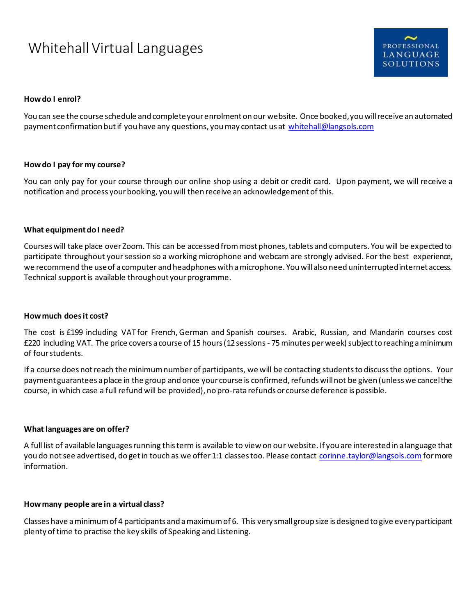# Whitehall Virtual Languages



## **How do I enrol?**

You can see the course schedule and complete your enrolment on our website. Once booked, you will receive an automated payment confirmation but if you have any questions, you may contact us at [whitehall@langsols.com](mailto:whitehall@langsols.com)

## **How do I pay for my course?**

You can only pay for your course through our online shop using a debit or credit card. Upon payment, we will receive a notification and process your booking, you will then receive an acknowledgement of this.

## **What equipment do I need?**

Courses will take place over Zoom. This can be accessed from most phones, tablets and computers. You will be expected to participate throughout your session so a working microphone and webcam are strongly advised. For the best experience, we recommend the use of a computer and headphones with a microphone. You will also need uninterrupted internet access. Technical support is available throughout your programme.

## **How much does it cost?**

The cost is £199 including VAT for French, German and Spanish courses. Arabic, Russian, and Mandarin courses cost £220 including VAT. The price covers a course of 15 hours (12 sessions - 75 minutes per week) subject to reaching a minimum of four students.

If a course does not reach the minimum number of participants, we will be contacting students to discuss the options. Your payment guarantees a place in the group and once your course is confirmed, refunds will not be given (unless we cancel the course, in which case a full refund will be provided), no pro-rata refunds or course deference is possible.

## **What languages are on offer?**

A full list of available languages running this term is available to view on our website. If you are interested in a language that you do not see advertised, do get in touch as we offer 1:1 classes too. Please contact [corinne.taylor@langsols.com](mailto:corinne.taylor@langsols.com) for more information.

## **How many people are in a virtual class?**

Classes have a minimum of 4 participants and a maximum of 6. This very small group size is designed to give every participant plenty of time to practise the key skills of Speaking and Listening.